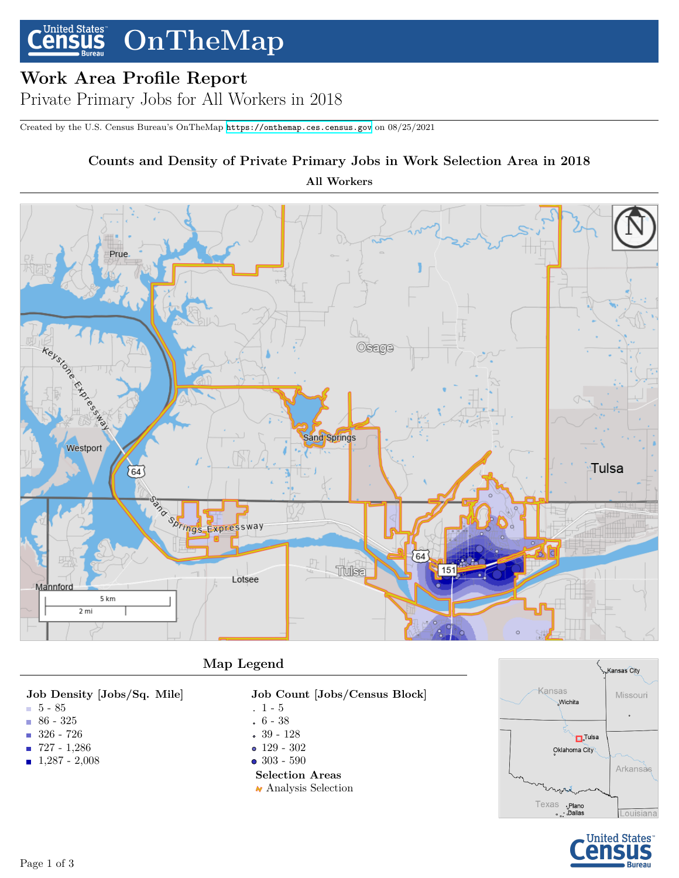#### **United States OnTheMap nsus**

# **Work Area Profile Report**

Private Primary Jobs for All Workers in 2018

Created by the U.S. Census Bureau's OnTheMap <https://onthemap.ces.census.gov> on 08/25/2021

# **Counts and Density of Private Primary Jobs in Work Selection Area in 2018**

**All Workers**



## **Map Legend**

#### **Job Density [Jobs/Sq. Mile]**

- 5 85
- $86 325$
- 326 726
- 727 1,286
- 1,287 2,008
- **Job Count [Jobs/Census Block]**
- $1 5$
- 6 38
- 39 128
- 129 302
- 303 590

### **Selection Areas**

 $\boldsymbol{\wedge}$  Analysis Selection



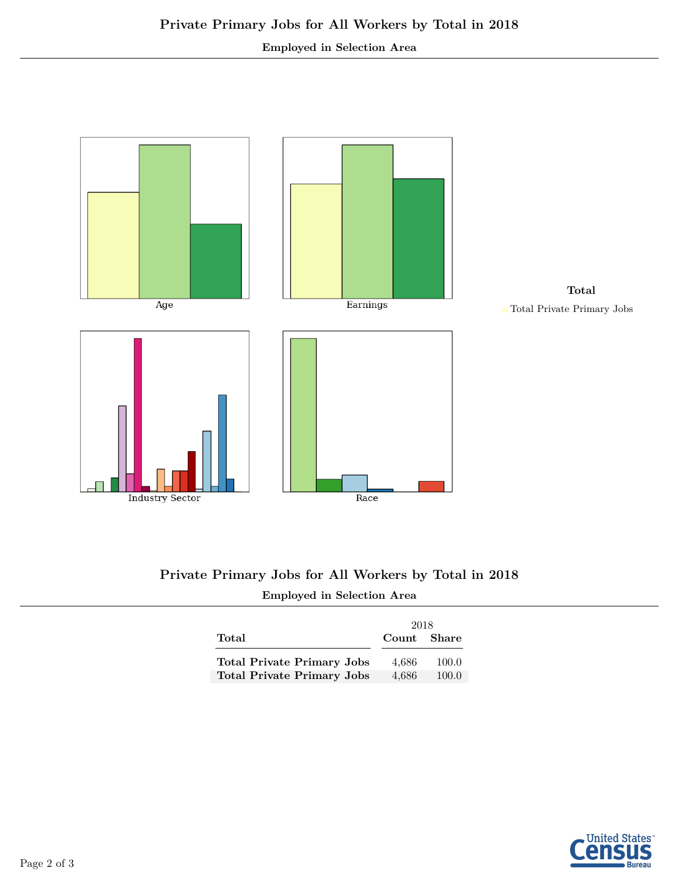#### **Employed in Selection Area**



## **Private Primary Jobs for All Workers by Total in 2018 Employed in Selection Area**

|                                   | 2018        |       |
|-----------------------------------|-------------|-------|
| Total                             | Count Share |       |
| <b>Total Private Primary Jobs</b> | 4.686       | 100.0 |
| <b>Total Private Primary Jobs</b> | 4.686       | 100.0 |